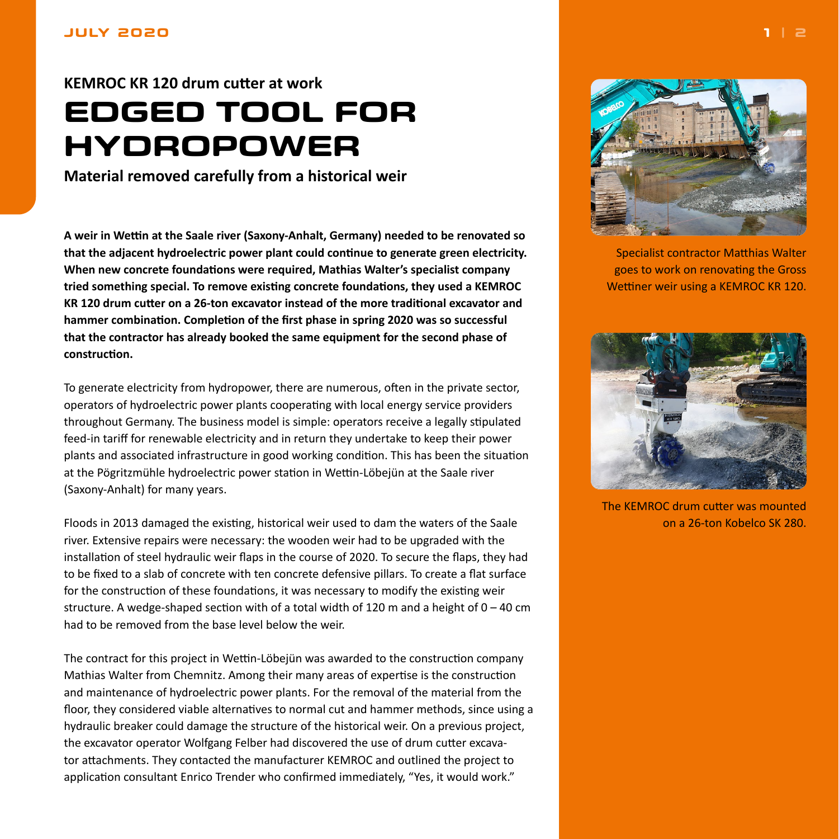## <span id="page-0-0"></span>**JULY 2020**

## **KEMROC KR 120 drum cutter at work EDGED TOOL FOR HYDROPOWER**

**Material removed carefully from a historical weir**

**A weir in Wettin at the Saale river (Saxony-Anhalt, Germany) needed to be renovated so that the adjacent hydroelectric power plant could continue to generate green electricity. When new concrete foundations were required, Mathias Walter's specialist company tried something special. To remove existing concrete foundations, they used a KEMROC KR 120 drum cutter on a 26-ton excavator instead of the more traditional excavator and hammer combination. Completion of the first phase in spring 2020 was so successful that the contractor has already booked the same equipment for the second phase of construction.**

To generate electricity from hydropower, there are numerous, often in the private sector, operators of hydroelectric power plants cooperating with local energy service providers throughout Germany. The business model is simple: operators receive a legally stipulated feed-in tariff for renewable electricity and in return they undertake to keep their power plants and associated infrastructure in good working condition. This has been the situation at the Pögritzmühle hydroelectric power station in Wettin-Löbejün at the Saale river (Saxony-Anhalt) for many years.

Floods in 2013 damaged the existing, historical weir used to dam the waters of the Saale river. Extensive repairs were necessary: the wooden weir had to be upgraded with the installation of steel hydraulic weir flaps in the course of 2020. To secure the flaps, they had to be fixed to a slab of concrete with ten concrete defensive pillars. To create a flat surface for the construction of these foundations, it was necessary to modify the existing weir structure. A wedge-shaped section with of a total width of 120 m and a height of  $0 - 40$  cm had to be removed from the base level below the weir.

The contract for this project in Wettin-Löbejün was awarded to the construction company Mathias Walter from Chemnitz. Among their many areas of expertise is the construction and maintenance of hydroelectric power plants. For the removal of the material from the floor, they considered viable alternatives to normal cut and hammer methods, since using a hydraulic breaker could damage the structure of the historical weir. On a previous project, the excavator operator Wolfgang Felber had discovered the use of drum cutter excavator attachments. They contacted the manufacturer KEMROC and outlined the project to application consultant Enrico Trender who confirmed immediately, "Yes, it would work."



Specialist contractor Matthias Walter goes to work on renovating the Gross Wettiner weir using a KEMROC KR 120.



The KEMROC drum cutter was mounted on a 26-ton Kobelco SK 280.